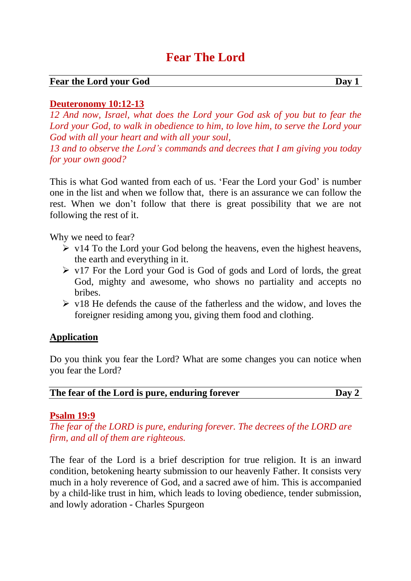# **Fear The Lord**

#### **Fear the Lord your God Day 1**

### **Deuteronomy 10:12-13**

*12 And now, Israel, what does the Lord your God ask of you but to fear the Lord your God, to walk in obedience to him, to love him, to serve the Lord your God with all your heart and with all your soul,*

*13 and to observe the Lord's commands and decrees that I am giving you today for your own good?*

This is what God wanted from each of us. 'Fear the Lord your God' is number one in the list and when we follow that, there is an assurance we can follow the rest. When we don't follow that there is great possibility that we are not following the rest of it.

Why we need to fear?

- $\triangleright$  v14 To the Lord your God belong the heavens, even the highest heavens, the earth and everything in it.
- $\triangleright$  v17 For the Lord your God is God of gods and Lord of lords, the great God, mighty and awesome, who shows no partiality and accepts no bribes.
- $\triangleright$  v18 He defends the cause of the fatherless and the widow, and loves the foreigner residing among you, giving them food and clothing.

### **Application**

Do you think you fear the Lord? What are some changes you can notice when you fear the Lord?

|  | The fear of the Lord is pure, enduring forever |  | Day 2 |
|--|------------------------------------------------|--|-------|
|--|------------------------------------------------|--|-------|

#### **Psalm 19:9**

*The fear of the LORD is pure, enduring forever. The decrees of the LORD are firm, and all of them are righteous.*

The fear of the Lord is a brief description for true religion. It is an inward condition, betokening hearty submission to our heavenly Father. It consists very much in a holy reverence of God, and a sacred awe of him. This is accompanied by a child-like trust in him, which leads to loving obedience, tender submission, and lowly adoration - Charles Spurgeon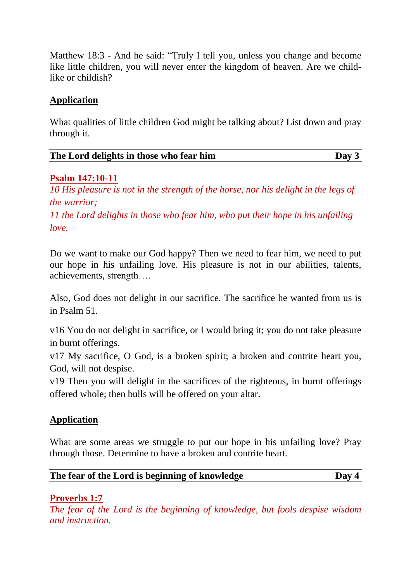Matthew 18:3 - And he said: "Truly I tell you, unless you change and become like little children, you will never enter the kingdom of heaven. Are we childlike or childish?

## **Application**

What qualities of little children God might be talking about? List down and pray through it.

| The Lord delights in those who fear him | Day 3 |
|-----------------------------------------|-------|
|                                         |       |

## **Psalm 147:10-11**

*10 His pleasure is not in the strength of the horse, nor his delight in the legs of the warrior;*

*11 the Lord delights in those who fear him, who put their hope in his unfailing love.*

Do we want to make our God happy? Then we need to fear him, we need to put our hope in his unfailing love. His pleasure is not in our abilities, talents, achievements, strength….

Also, God does not delight in our sacrifice. The sacrifice he wanted from us is in Psalm 51.

v16 You do not delight in sacrifice, or I would bring it; you do not take pleasure in burnt offerings.

v17 My sacrifice, O God, is a broken spirit; a broken and contrite heart you, God, will not despise.

v19 Then you will delight in the sacrifices of the righteous, in burnt offerings offered whole; then bulls will be offered on your altar.

### **Application**

What are some areas we struggle to put our hope in his unfailing love? Pray through those. Determine to have a broken and contrite heart.

| The fear of the Lord is beginning of knowledge | Day 4 |
|------------------------------------------------|-------|
|                                                |       |

## **Proverbs 1:7**

*The fear of the Lord is the beginning of knowledge, but fools despise wisdom and instruction.*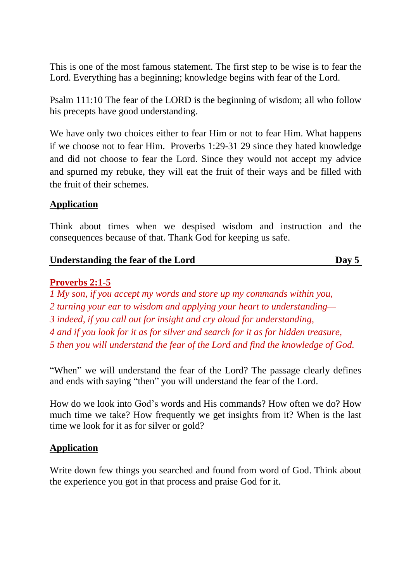This is one of the most famous statement. The first step to be wise is to fear the Lord. Everything has a beginning; knowledge begins with fear of the Lord.

Psalm 111:10 The fear of the LORD is the beginning of wisdom; all who follow his precepts have good understanding.

We have only two choices either to fear Him or not to fear Him. What happens if we choose not to fear Him. Proverbs 1:29-31 29 since they hated knowledge and did not choose to fear the Lord. Since they would not accept my advice and spurned my rebuke, they will eat the fruit of their ways and be filled with the fruit of their schemes.

## **Application**

Think about times when we despised wisdom and instruction and the consequences because of that. Thank God for keeping us safe.

## **Understanding the fear of the Lord Day 5**

### **Proverbs 2:1-5**

 *My son, if you accept my words and store up my commands within you, turning your ear to wisdom and applying your heart to understanding— indeed, if you call out for insight and cry aloud for understanding, and if you look for it as for silver and search for it as for hidden treasure, then you will understand the fear of the Lord and find the knowledge of God.*

"When" we will understand the fear of the Lord? The passage clearly defines and ends with saying "then" you will understand the fear of the Lord.

How do we look into God's words and His commands? How often we do? How much time we take? How frequently we get insights from it? When is the last time we look for it as for silver or gold?

### **Application**

Write down few things you searched and found from word of God. Think about the experience you got in that process and praise God for it.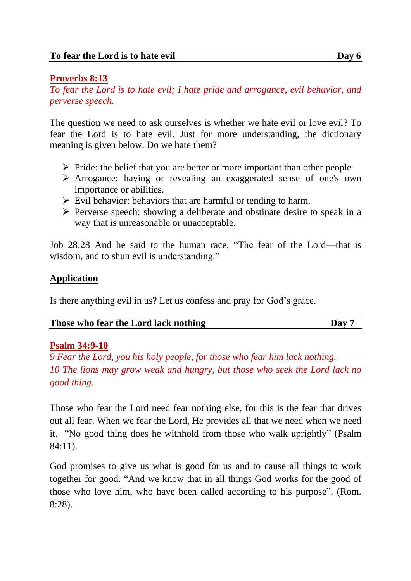## **Proverbs 8:13**

*To fear the Lord is to hate evil; I hate pride and arrogance, evil behavior, and perverse speech.*

The question we need to ask ourselves is whether we hate evil or love evil? To fear the Lord is to hate evil. Just for more understanding, the dictionary meaning is given below. Do we hate them?

- ➢ Pride: the belief that you are better or more important than other people
- ➢ Arrogance: having or revealing an exaggerated sense of one's own importance or abilities.
- $\triangleright$  Evil behavior: behaviors that are harmful or tending to harm.
- ➢ Perverse speech: showing a deliberate and obstinate desire to speak in a way that is unreasonable or unacceptable.

Job 28:28 And he said to the human race, "The fear of the Lord—that is wisdom, and to shun evil is understanding."

## **Application**

Is there anything evil in us? Let us confess and pray for God's grace.

| Those who fear the Lord lack nothing | Dav |
|--------------------------------------|-----|
|--------------------------------------|-----|

### **Psalm 34:9-10**

*9 Fear the Lord, you his holy people, for those who fear him lack nothing. 10 The lions may grow weak and hungry, but those who seek the Lord lack no good thing.*

Those who fear the Lord need fear nothing else, for this is the fear that drives out all fear. When we fear the Lord, He provides all that we need when we need it. "No good thing does he withhold from those who walk uprightly" (Psalm 84:11).

God promises to give us what is good for us and to cause all things to work together for good. "And we know that in all things God works for the good of those who love him, who have been called according to his purpose". (Rom. 8:28).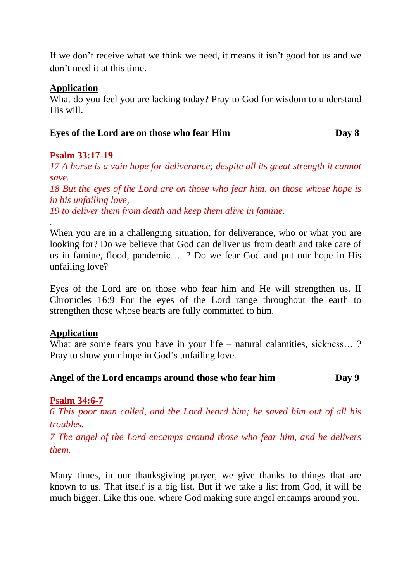If we don't receive what we think we need, it means it isn't good for us and we don't need it at this time.

#### **Application**

What do you feel you are lacking today? Pray to God for wisdom to understand His will.

| Eves of the Lord are on those who fear Him | Day 8 |
|--------------------------------------------|-------|
|                                            |       |

### **Psalm 33:17-19**

*.*

*17 A horse is a vain hope for deliverance; despite all its great strength it cannot save.*

*18 But the eyes of the Lord are on those who fear him, on those whose hope is in his unfailing love,*

*19 to deliver them from death and keep them alive in famine.*

When you are in a challenging situation, for deliverance, who or what you are looking for? Do we believe that God can deliver us from death and take care of us in famine, flood, pandemic…. ? Do we fear God and put our hope in His unfailing love?

Eyes of the Lord are on those who fear him and He will strengthen us. II Chronicles 16:9 For the eyes of the Lord range throughout the earth to strengthen those whose hearts are fully committed to him.

### **Application**

What are some fears you have in your life – natural calamities, sickness...? Pray to show your hope in God's unfailing love.

| Angel of the Lord encamps around those who fear him | Day 9 |
|-----------------------------------------------------|-------|
|                                                     |       |

### **Psalm 34:6-7**

*6 This poor man called, and the Lord heard him; he saved him out of all his troubles.*

*7 The angel of the Lord encamps around those who fear him, and he delivers them.*

Many times, in our thanksgiving prayer, we give thanks to things that are known to us. That itself is a big list. But if we take a list from God, it will be much bigger. Like this one, where God making sure angel encamps around you.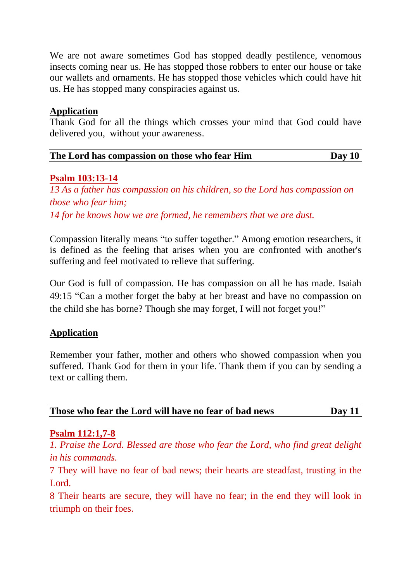We are not aware sometimes God has stopped deadly pestilence, venomous insects coming near us. He has stopped those robbers to enter our house or take our wallets and ornaments. He has stopped those vehicles which could have hit us. He has stopped many conspiracies against us.

### **Application**

Thank God for all the things which crosses your mind that God could have delivered you, without your awareness.

| The Lord has compassion on those who fear Him | Day $10$ |
|-----------------------------------------------|----------|
|                                               |          |

### **Psalm 103:13-14**

*13 As a father has compassion on his children, so the Lord has compassion on those who fear him; 14 for he knows how we are formed, he remembers that we are dust.*

Compassion literally means "to suffer together." Among emotion researchers, it is defined as the feeling that arises when you are confronted with another's suffering and feel motivated to relieve that suffering.

Our God is full of compassion. He has compassion on all he has made. Isaiah 49:15 "Can a mother forget the baby at her breast and have no compassion on the child she has borne? Though she may forget, I will not forget you!"

## **Application**

Remember your father, mother and others who showed compassion when you suffered. Thank God for them in your life. Thank them if you can by sending a text or calling them.

| Day $11$ |
|----------|
|----------|

### **Psalm 112:1,7-8**

*1. Praise the Lord. Blessed are those who fear the Lord, who find great delight in his commands.*

7 They will have no fear of bad news; their hearts are steadfast, trusting in the Lord.

8 Their hearts are secure, they will have no fear; in the end they will look in triumph on their foes.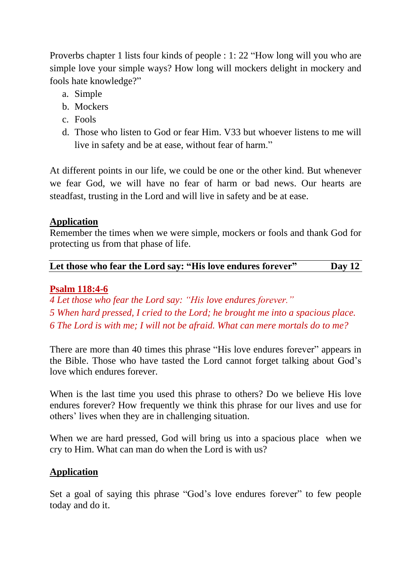Proverbs chapter 1 lists four kinds of people : 1: 22 "How long will you who are simple love your simple ways? How long will mockers delight in mockery and fools hate knowledge?"

- a. Simple
- b. Mockers
- c. Fools
- d. Those who listen to God or fear Him. V33 but whoever listens to me will live in safety and be at ease, without fear of harm."

At different points in our life, we could be one or the other kind. But whenever we fear God, we will have no fear of harm or bad news. Our hearts are steadfast, trusting in the Lord and will live in safety and be at ease.

## **Application**

Remember the times when we were simple, mockers or fools and thank God for protecting us from that phase of life.

| Let those who fear the Lord say: "His love endures forever" | Day $12$ |
|-------------------------------------------------------------|----------|
|-------------------------------------------------------------|----------|

## **Psalm 118:4-6**

*4 Let those who fear the Lord say: "His love endures forever." 5 When hard pressed, I cried to the Lord; he brought me into a spacious place. 6 The Lord is with me; I will not be afraid. What can mere mortals do to me?*

There are more than 40 times this phrase "His love endures forever" appears in the Bible. Those who have tasted the Lord cannot forget talking about God's love which endures forever.

When is the last time you used this phrase to others? Do we believe His love endures forever? How frequently we think this phrase for our lives and use for others' lives when they are in challenging situation.

When we are hard pressed, God will bring us into a spacious place when we cry to Him. What can man do when the Lord is with us?

## **Application**

Set a goal of saying this phrase "God's love endures forever" to few people today and do it.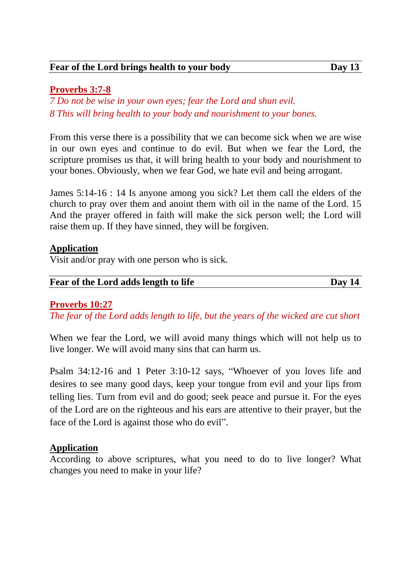## **Proverbs 3:7-8**

*7 Do not be wise in your own eyes; fear the Lord and shun evil. 8 This will bring health to your body and nourishment to your bones.*

From this verse there is a possibility that we can become sick when we are wise in our own eyes and continue to do evil. But when we fear the Lord, the scripture promises us that, it will bring health to your body and nourishment to your bones. Obviously, when we fear God, we hate evil and being arrogant.

James 5:14-16 : 14 Is anyone among you sick? Let them call the elders of the church to pray over them and anoint them with oil in the name of the Lord. 15 And the prayer offered in faith will make the sick person well; the Lord will raise them up. If they have sinned, they will be forgiven.

## **Application**

Visit and/or pray with one person who is sick.

#### **Fear of the Lord adds length to life Day 14**

## **Proverbs 10:27**

*The fear of the Lord adds length to life, but the years of the wicked are cut short*

When we fear the Lord, we will avoid many things which will not help us to live longer. We will avoid many sins that can harm us.

Psalm 34:12-16 and 1 Peter 3:10-12 says, "Whoever of you loves life and desires to see many good days, keep your tongue from evil and your lips from telling lies. Turn from evil and do good; seek peace and pursue it. For the eyes of the Lord are on the righteous and his ears are attentive to their prayer, but the face of the Lord is against those who do evil".

## **Application**

According to above scriptures, what you need to do to live longer? What changes you need to make in your life?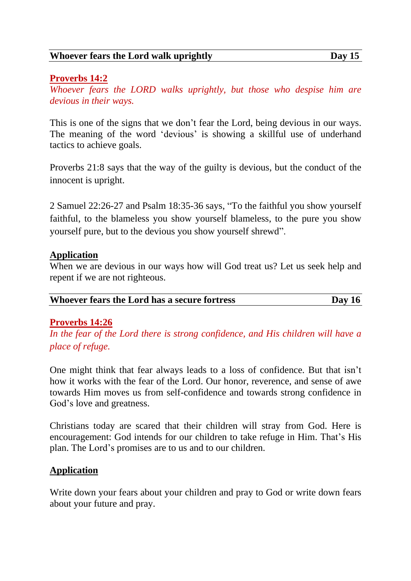#### **Whoever fears the Lord walk uprightly Day 15**

### **Proverbs 14:2**

*Whoever fears the LORD walks uprightly, but those who despise him are devious in their ways.*

This is one of the signs that we don't fear the Lord, being devious in our ways. The meaning of the word 'devious' is showing a skillful use of underhand tactics to achieve goals.

Proverbs 21:8 says that the way of the guilty is devious, but the conduct of the innocent is upright.

2 Samuel 22:26-27 and Psalm 18:35-36 says, "To the faithful you show yourself faithful, to the blameless you show yourself blameless, to the pure you show yourself pure, but to the devious you show yourself shrewd".

#### **Application**

When we are devious in our ways how will God treat us? Let us seek help and repent if we are not righteous.

| Whoever fears the Lord has a secure fortress | Day $16$ |
|----------------------------------------------|----------|
|----------------------------------------------|----------|

### **Proverbs 14:26**

*In the fear of the Lord there is strong confidence, and His children will have a place of refuge.*

One might think that fear always leads to a loss of confidence. But that isn't how it works with the fear of the Lord. Our honor, reverence, and sense of awe towards Him moves us from self-confidence and towards strong confidence in God's love and greatness.

Christians today are scared that their children will stray from God. Here is encouragement: God intends for our children to take refuge in Him. That's His plan. The Lord's promises are to us and to our children.

### **Application**

Write down your fears about your children and pray to God or write down fears about your future and pray.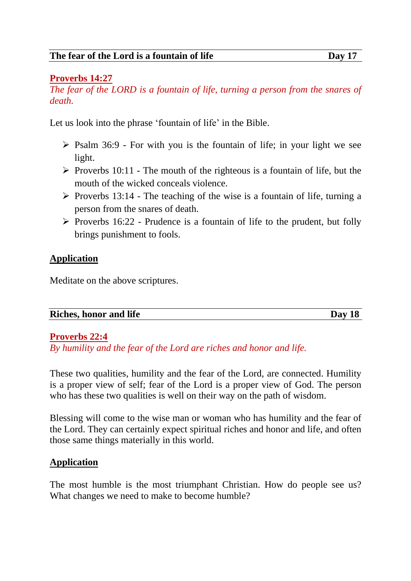## **Proverbs 14:27**

*The fear of the LORD is a fountain of life, turning a person from the snares of death.*

Let us look into the phrase 'fountain of life' in the Bible.

- ➢ Psalm 36:9 For with you is the fountain of life; in your light we see light.
- $\triangleright$  Proverbs 10:11 The mouth of the righteous is a fountain of life, but the mouth of the wicked conceals violence.
- $\triangleright$  Proverbs 13:14 The teaching of the wise is a fountain of life, turning a person from the snares of death.
- $\triangleright$  Proverbs 16:22 Prudence is a fountain of life to the prudent, but folly brings punishment to fools.

### **Application**

Meditate on the above scriptures.

| <b>Riches, honor and life</b> | Dav 18 |
|-------------------------------|--------|

### **Proverbs 22:4**

*By humility and the fear of the Lord are riches and honor and life.*

These two qualities, humility and the fear of the Lord, are connected. Humility is a proper view of self; fear of the Lord is a proper view of God. The person who has these two qualities is well on their way on the path of wisdom.

Blessing will come to the wise man or woman who has humility and the fear of the Lord. They can certainly expect spiritual riches and honor and life, and often those same things materially in this world.

### **Application**

The most humble is the most triumphant Christian. How do people see us? What changes we need to make to become humble?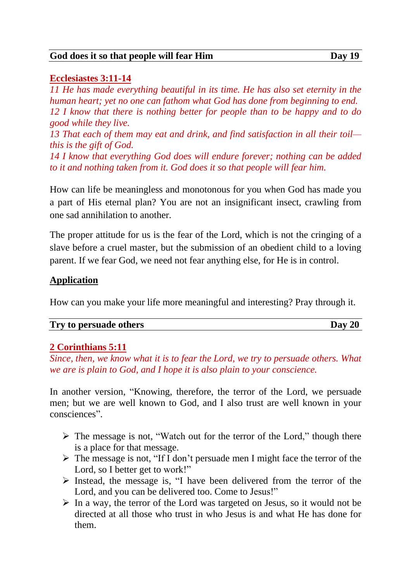#### **God does it so that people will fear Him Day 19**

### **Ecclesiastes 3:11-14**

*11 He has made everything beautiful in its time. He has also set eternity in the human heart; yet no one can fathom what God has done from beginning to end. 12 I know that there is nothing better for people than to be happy and to do good while they live. 13 That each of them may eat and drink, and find satisfaction in all their toil this is the gift of God.*

*14 I know that everything God does will endure forever; nothing can be added to it and nothing taken from it. God does it so that people will fear him.*

How can life be meaningless and monotonous for you when God has made you a part of His eternal plan? You are not an insignificant insect, crawling from one sad annihilation to another.

The proper attitude for us is the fear of the Lord, which is not the cringing of a slave before a cruel master, but the submission of an obedient child to a loving parent. If we fear God, we need not fear anything else, for He is in control.

## **Application**

How can you make your life more meaningful and interesting? Pray through it.

|  | Try to persuade others |
|--|------------------------|
|--|------------------------|

### **2 Corinthians 5:11**

*Since, then, we know what it is to fear the Lord, we try to persuade others. What we are is plain to God, and I hope it is also plain to your conscience.*

In another version, "Knowing, therefore, the terror of the Lord, we persuade men; but we are well known to God, and I also trust are well known in your consciences".

- ➢ The message is not, "Watch out for the terror of the Lord," though there is a place for that message.
- ➢ The message is not, "If I don't persuade men I might face the terror of the Lord, so I better get to work!"
- ➢ Instead, the message is, "I have been delivered from the terror of the Lord, and you can be delivered too. Come to Jesus!"
- $\triangleright$  In a way, the terror of the Lord was targeted on Jesus, so it would not be directed at all those who trust in who Jesus is and what He has done for them.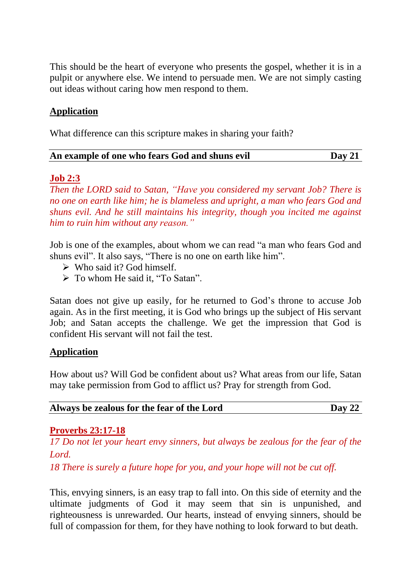This should be the heart of everyone who presents the gospel, whether it is in a pulpit or anywhere else. We intend to persuade men. We are not simply casting out ideas without caring how men respond to them.

### **Application**

What difference can this scripture makes in sharing your faith?

| An example of one who fears God and shuns evil | Day 21 |
|------------------------------------------------|--------|
|------------------------------------------------|--------|

#### **Job 2:3**

*Then the LORD said to Satan, "Have you considered my servant Job? There is no one on earth like him; he is blameless and upright, a man who fears God and shuns evil. And he still maintains his integrity, though you incited me against him to ruin him without any reason."*

Job is one of the examples, about whom we can read "a man who fears God and shuns evil". It also says, "There is no one on earth like him".

- $\triangleright$  Who said it? God himself.
- ➢ To whom He said it, "To Satan".

Satan does not give up easily, for he returned to God's throne to accuse Job again. As in the first meeting, it is God who brings up the subject of His servant Job; and Satan accepts the challenge. We get the impression that God is confident His servant will not fail the test.

#### **Application**

How about us? Will God be confident about us? What areas from our life, Satan may take permission from God to afflict us? Pray for strength from God.

| Always be zealous for the fear of the Lord | $\bf{D}$ ay 22 |
|--------------------------------------------|----------------|
|--------------------------------------------|----------------|

#### **Proverbs 23:17-18**

*17 Do not let your heart envy sinners, but always be zealous for the fear of the Lord.*

*18 There is surely a future hope for you, and your hope will not be cut off.*

This, envying sinners, is an easy trap to fall into. On this side of eternity and the ultimate judgments of God it may seem that sin is unpunished, and righteousness is unrewarded. Our hearts, instead of envying sinners, should be full of compassion for them, for they have nothing to look forward to but death.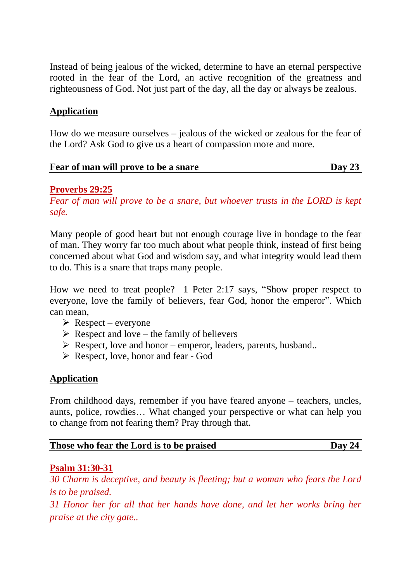Instead of being jealous of the wicked, determine to have an eternal perspective rooted in the fear of the Lord, an active recognition of the greatness and righteousness of God. Not just part of the day, all the day or always be zealous.

## **Application**

How do we measure ourselves – jealous of the wicked or zealous for the fear of the Lord? Ask God to give us a heart of compassion more and more.

| Fear of man will prove to be a snare | Day 23 |
|--------------------------------------|--------|
|                                      |        |

### **Proverbs 29:25**

*Fear of man will prove to be a snare, but whoever trusts in the LORD is kept safe.*

Many people of good heart but not enough courage live in bondage to the fear of man. They worry far too much about what people think, instead of first being concerned about what God and wisdom say, and what integrity would lead them to do. This is a snare that traps many people.

How we need to treat people? 1 Peter 2:17 says, "Show proper respect to everyone, love the family of believers, fear God, honor the emperor". Which can mean,

- $\triangleright$  Respect everyone
- $\triangleright$  Respect and love the family of believers
- $\triangleright$  Respect, love and honor emperor, leaders, parents, husband...
- ➢ Respect, love, honor and fear God

### **Application**

From childhood days, remember if you have feared anyone – teachers, uncles, aunts, police, rowdies… What changed your perspective or what can help you to change from not fearing them? Pray through that.

### **Psalm 31:30-31**

*30 Charm is deceptive, and beauty is fleeting; but a woman who fears the Lord is to be praised.*

*31 Honor her for all that her hands have done, and let her works bring her praise at the city gate..*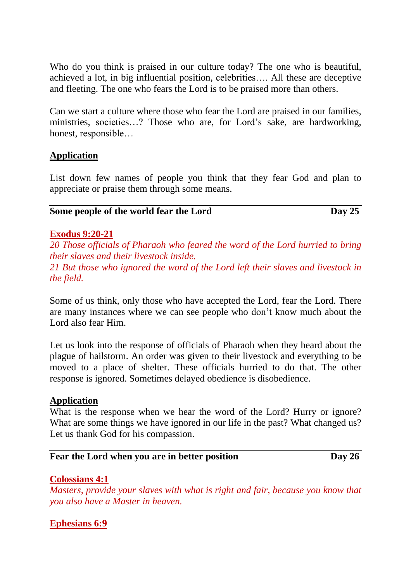Who do you think is praised in our culture today? The one who is beautiful, achieved a lot, in big influential position, celebrities…. All these are deceptive and fleeting. The one who fears the Lord is to be praised more than others.

Can we start a culture where those who fear the Lord are praised in our families, ministries, societies…? Those who are, for Lord's sake, are hardworking, honest, responsible…

### **Application**

List down few names of people you think that they fear God and plan to appreciate or praise them through some means.

| Some people of the world fear the Lord | Day 25 |
|----------------------------------------|--------|
|----------------------------------------|--------|

#### **Exodus 9:20-21**

*20 Those officials of Pharaoh who feared the word of the Lord hurried to bring their slaves and their livestock inside.*

*21 But those who ignored the word of the Lord left their slaves and livestock in the field.*

Some of us think, only those who have accepted the Lord, fear the Lord. There are many instances where we can see people who don't know much about the Lord also fear Him.

Let us look into the response of officials of Pharaoh when they heard about the plague of hailstorm. An order was given to their livestock and everything to be moved to a place of shelter. These officials hurried to do that. The other response is ignored. Sometimes delayed obedience is disobedience.

### **Application**

What is the response when we hear the word of the Lord? Hurry or ignore? What are some things we have ignored in our life in the past? What changed us? Let us thank God for his compassion.

### **Fear the Lord when you are in better position Day 26**

### **Colossians 4:1**

*Masters, provide your slaves with what is right and fair, because you know that you also have a Master in heaven.*

### **Ephesians 6:9**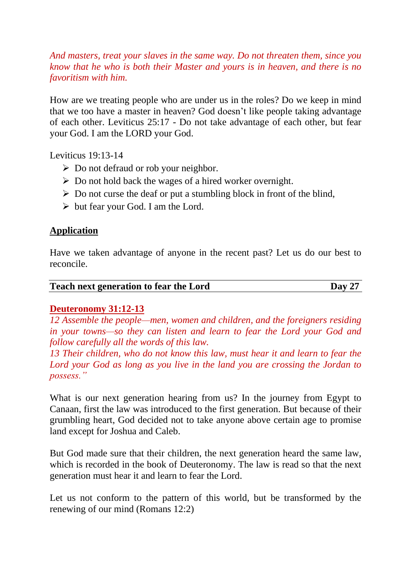*And masters, treat your slaves in the same way. Do not threaten them, since you know that he who is both their Master and yours is in heaven, and there is no favoritism with him.*

How are we treating people who are under us in the roles? Do we keep in mind that we too have a master in heaven? God doesn't like people taking advantage of each other. Leviticus 25:17 - Do not take advantage of each other, but fear your God. I am the LORD your God.

Leviticus 19:13-14

- ➢ Do not defraud or rob your neighbor.
- $\triangleright$  Do not hold back the wages of a hired worker overnight.
- $\triangleright$  Do not curse the deaf or put a stumbling block in front of the blind,
- $\triangleright$  but fear your God. I am the Lord.

### **Application**

Have we taken advantage of anyone in the recent past? Let us do our best to reconcile.

| <b>Teach next generation to fear the Lord</b> | Day 27 |
|-----------------------------------------------|--------|
|                                               |        |

### **Deuteronomy 31:12-13**

*12 Assemble the people—men, women and children, and the foreigners residing in your towns—so they can listen and learn to fear the Lord your God and follow carefully all the words of this law.*

*13 Their children, who do not know this law, must hear it and learn to fear the Lord your God as long as you live in the land you are crossing the Jordan to possess."*

What is our next generation hearing from us? In the journey from Egypt to Canaan, first the law was introduced to the first generation. But because of their grumbling heart, God decided not to take anyone above certain age to promise land except for Joshua and Caleb.

But God made sure that their children, the next generation heard the same law, which is recorded in the book of Deuteronomy. The law is read so that the next generation must hear it and learn to fear the Lord.

Let us not conform to the pattern of this world, but be transformed by the renewing of our mind (Romans 12:2)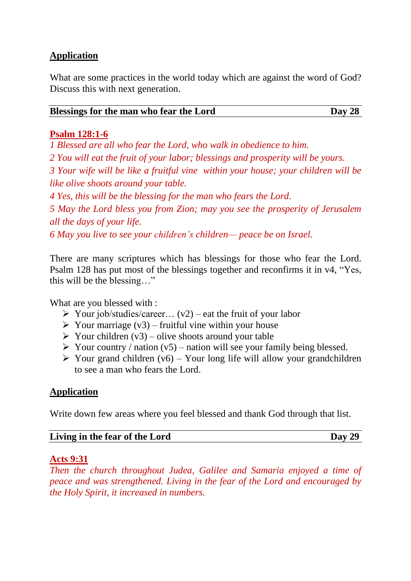## **Application**

What are some practices in the world today which are against the word of God? Discuss this with next generation.

| Blessings for the man who fear the Lord | Day 28 |
|-----------------------------------------|--------|
|-----------------------------------------|--------|

#### **Psalm 128:1-6**

*1 Blessed are all who fear the Lord, who walk in obedience to him.*

*2 You will eat the fruit of your labor; blessings and prosperity will be yours.*

*3 Your wife will be like a fruitful vine within your house; your children will be like olive shoots around your table.*

*4 Yes, this will be the blessing for the man who fears the Lord.*

*5 May the Lord bless you from Zion; may you see the prosperity of Jerusalem all the days of your life.*

*6 May you live to see your children's children— peace be on Israel.*

There are many scriptures which has blessings for those who fear the Lord. Psalm 128 has put most of the blessings together and reconfirms it in v4, "Yes, this will be the blessing…"

What are you blessed with :

- $\triangleright$  Your job/studies/career... (v2) eat the fruit of your labor
- $\triangleright$  Your marriage (v3) fruitful vine within your house
- $\triangleright$  Your children (v3) olive shoots around your table
- $\triangleright$  Your country / nation (v5) nation will see your family being blessed.
- $\triangleright$  Your grand children (v6) Your long life will allow your grandchildren to see a man who fears the Lord.

### **Application**

Write down few areas where you feel blessed and thank God through that list.

| Living in the fear of the Lord | Day 29 |
|--------------------------------|--------|
|--------------------------------|--------|

#### **Acts 9:31**

*Then the church throughout Judea, Galilee and Samaria enjoyed a time of peace and was strengthened. Living in the fear of the Lord and encouraged by the Holy Spirit, it increased in numbers.*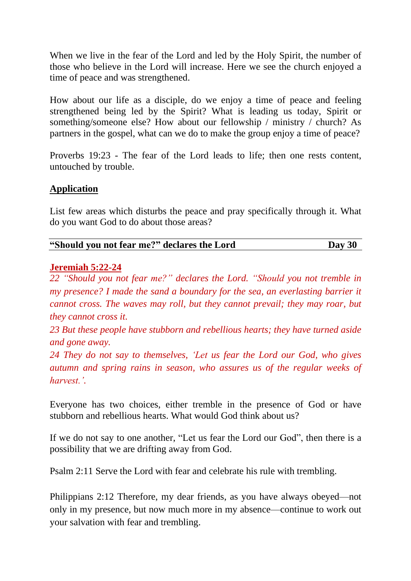When we live in the fear of the Lord and led by the Holy Spirit, the number of those who believe in the Lord will increase. Here we see the church enjoyed a time of peace and was strengthened.

How about our life as a disciple, do we enjoy a time of peace and feeling strengthened being led by the Spirit? What is leading us today, Spirit or something/someone else? How about our fellowship / ministry / church? As partners in the gospel, what can we do to make the group enjoy a time of peace?

Proverbs 19:23 - The fear of the Lord leads to life; then one rests content, untouched by trouble.

## **Application**

List few areas which disturbs the peace and pray specifically through it. What do you want God to do about those areas?

| "Should you not fear me?" declares the Lord | Day 30 |
|---------------------------------------------|--------|
|---------------------------------------------|--------|

### **Jeremiah 5:22-24**

*22 "Should you not fear me?" declares the Lord. "Should you not tremble in my presence? I made the sand a boundary for the sea, an everlasting barrier it cannot cross. The waves may roll, but they cannot prevail; they may roar, but they cannot cross it.*

*23 But these people have stubborn and rebellious hearts; they have turned aside and gone away.*

*24 They do not say to themselves, 'Let us fear the Lord our God, who gives autumn and spring rains in season, who assures us of the regular weeks of harvest.'.*

Everyone has two choices, either tremble in the presence of God or have stubborn and rebellious hearts. What would God think about us?

If we do not say to one another, "Let us fear the Lord our God", then there is a possibility that we are drifting away from God.

Psalm 2:11 Serve the Lord with fear and celebrate his rule with trembling.

Philippians 2:12 Therefore, my dear friends, as you have always obeyed—not only in my presence, but now much more in my absence—continue to work out your salvation with fear and trembling.